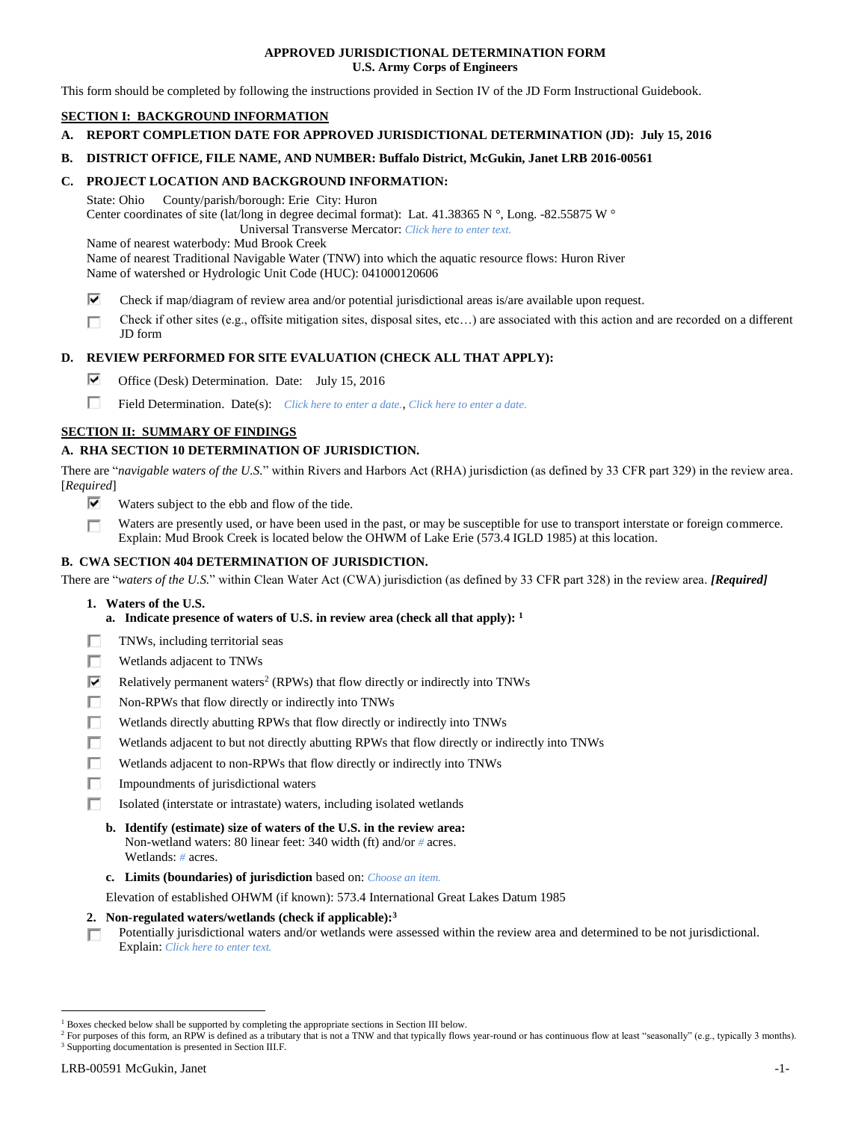### **APPROVED JURISDICTIONAL DETERMINATION FORM U.S. Army Corps of Engineers**

This form should be completed by following the instructions provided in Section IV of the JD Form Instructional Guidebook.

# **SECTION I: BACKGROUND INFORMATION**

**A. REPORT COMPLETION DATE FOR APPROVED JURISDICTIONAL DETERMINATION (JD): July 15, 2016**

### **B. DISTRICT OFFICE, FILE NAME, AND NUMBER: Buffalo District, McGukin, Janet LRB 2016-00561**

## **C. PROJECT LOCATION AND BACKGROUND INFORMATION:**

State: Ohio County/parish/borough: Erie City: Huron Center coordinates of site (lat/long in degree decimal format): Lat. 41.38365 N °, Long. -82.55875 W ° Universal Transverse Mercator: *Click here to enter text.*

Name of nearest waterbody: Mud Brook Creek

Name of nearest Traditional Navigable Water (TNW) into which the aquatic resource flows: Huron River Name of watershed or Hydrologic Unit Code (HUC): 041000120606

- ⊽ Check if map/diagram of review area and/or potential jurisdictional areas is/are available upon request.
- Check if other sites (e.g., offsite mitigation sites, disposal sites, etc…) are associated with this action and are recorded on a different п JD form

## **D. REVIEW PERFORMED FOR SITE EVALUATION (CHECK ALL THAT APPLY):**

- ⊽. Office (Desk) Determination. Date: July 15, 2016
- п Field Determination. Date(s): *Click here to enter a date.*, *Click here to enter a date.*

## **SECTION II: SUMMARY OF FINDINGS**

# **A. RHA SECTION 10 DETERMINATION OF JURISDICTION.**

There are "*navigable waters of the U.S.*" within Rivers and Harbors Act (RHA) jurisdiction (as defined by 33 CFR part 329) in the review area. [*Required*]

- ⊽ Waters subject to the ebb and flow of the tide.
- Waters are presently used, or have been used in the past, or may be susceptible for use to transport interstate or foreign commerce. П Explain: Mud Brook Creek is located below the OHWM of Lake Erie (573.4 IGLD 1985) at this location.

## **B. CWA SECTION 404 DETERMINATION OF JURISDICTION.**

There are "*waters of the U.S.*" within Clean Water Act (CWA) jurisdiction (as defined by 33 CFR part 328) in the review area. *[Required]*

- **1. Waters of the U.S.**
	- **a. Indicate presence of waters of U.S. in review area (check all that apply): 1**
- п. TNWs, including territorial seas
- П Wetlands adjacent to TNWs
- ⊽ Relatively permanent waters<sup>2</sup> (RPWs) that flow directly or indirectly into TNWs
- г Non-RPWs that flow directly or indirectly into TNWs
- П Wetlands directly abutting RPWs that flow directly or indirectly into TNWs
- п Wetlands adjacent to but not directly abutting RPWs that flow directly or indirectly into TNWs
- Wetlands adjacent to non-RPWs that flow directly or indirectly into TNWs п
- п. Impoundments of jurisdictional waters
- П. Isolated (interstate or intrastate) waters, including isolated wetlands
	- **b. Identify (estimate) size of waters of the U.S. in the review area:** Non-wetland waters: 80 linear feet: 340 width (ft) and/or *#* acres. Wetlands: *#* acres.
	- **c. Limits (boundaries) of jurisdiction** based on: *Choose an item.*

Elevation of established OHWM (if known): 573.4 International Great Lakes Datum 1985

- **2. Non-regulated waters/wetlands (check if applicable): 3**
- Potentially jurisdictional waters and/or wetlands were assessed within the review area and determined to be not jurisdictional. п. Explain: *Click here to enter text.*

 $\overline{a}$ 

<sup>1</sup> Boxes checked below shall be supported by completing the appropriate sections in Section III below.

<sup>&</sup>lt;sup>2</sup> For purposes of this form, an RPW is defined as a tributary that is not a TNW and that typically flows year-round or has continuous flow at least "seasonally" (e.g., typically 3 months). <sup>3</sup> Supporting documentation is presented in Section III.F.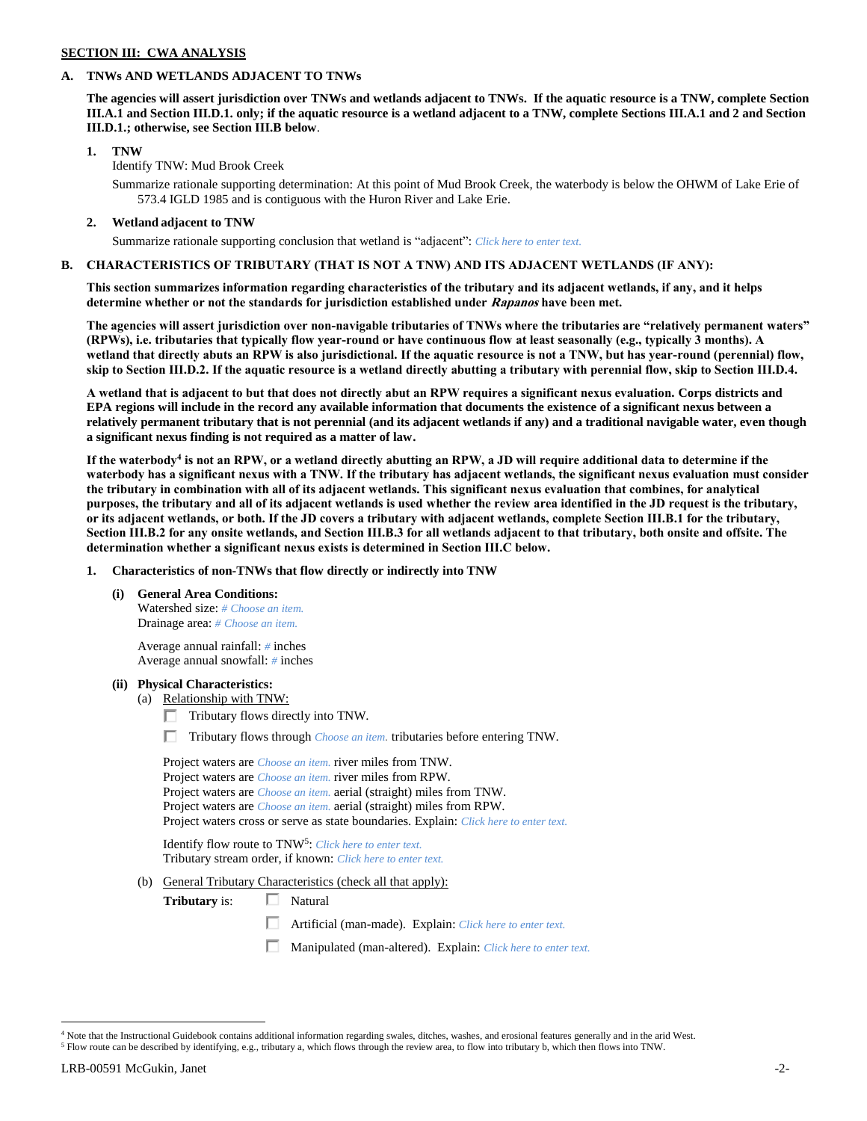# **SECTION III: CWA ANALYSIS**

### **A. TNWs AND WETLANDS ADJACENT TO TNWs**

**The agencies will assert jurisdiction over TNWs and wetlands adjacent to TNWs. If the aquatic resource is a TNW, complete Section III.A.1 and Section III.D.1. only; if the aquatic resource is a wetland adjacent to a TNW, complete Sections III.A.1 and 2 and Section III.D.1.; otherwise, see Section III.B below**.

### **1. TNW**

Identify TNW: Mud Brook Creek

Summarize rationale supporting determination: At this point of Mud Brook Creek, the waterbody is below the OHWM of Lake Erie of 573.4 IGLD 1985 and is contiguous with the Huron River and Lake Erie.

## **2. Wetland adjacent to TNW**

Summarize rationale supporting conclusion that wetland is "adjacent": *Click here to enter text.*

## **B. CHARACTERISTICS OF TRIBUTARY (THAT IS NOT A TNW) AND ITS ADJACENT WETLANDS (IF ANY):**

**This section summarizes information regarding characteristics of the tributary and its adjacent wetlands, if any, and it helps determine whether or not the standards for jurisdiction established under Rapanos have been met.** 

**The agencies will assert jurisdiction over non-navigable tributaries of TNWs where the tributaries are "relatively permanent waters" (RPWs), i.e. tributaries that typically flow year-round or have continuous flow at least seasonally (e.g., typically 3 months). A wetland that directly abuts an RPW is also jurisdictional. If the aquatic resource is not a TNW, but has year-round (perennial) flow, skip to Section III.D.2. If the aquatic resource is a wetland directly abutting a tributary with perennial flow, skip to Section III.D.4.**

**A wetland that is adjacent to but that does not directly abut an RPW requires a significant nexus evaluation. Corps districts and EPA regions will include in the record any available information that documents the existence of a significant nexus between a relatively permanent tributary that is not perennial (and its adjacent wetlands if any) and a traditional navigable water, even though a significant nexus finding is not required as a matter of law.**

**If the waterbody<sup>4</sup> is not an RPW, or a wetland directly abutting an RPW, a JD will require additional data to determine if the waterbody has a significant nexus with a TNW. If the tributary has adjacent wetlands, the significant nexus evaluation must consider the tributary in combination with all of its adjacent wetlands. This significant nexus evaluation that combines, for analytical purposes, the tributary and all of its adjacent wetlands is used whether the review area identified in the JD request is the tributary, or its adjacent wetlands, or both. If the JD covers a tributary with adjacent wetlands, complete Section III.B.1 for the tributary, Section III.B.2 for any onsite wetlands, and Section III.B.3 for all wetlands adjacent to that tributary, both onsite and offsite. The determination whether a significant nexus exists is determined in Section III.C below.**

### **1. Characteristics of non-TNWs that flow directly or indirectly into TNW**

**(i) General Area Conditions:** Watershed size: *# Choose an item.*

Drainage area: *# Choose an item.*

Average annual rainfall: *#* inches Average annual snowfall: *#* inches

## **(ii) Physical Characteristics:**

- (a) Relationship with TNW:
	- $\Box$  Tributary flows directly into TNW.
	- Tributary flows through *Choose an item.* tributaries before entering TNW.

| Project waters are <i>Choose an item</i> , river miles from TNW.                      |
|---------------------------------------------------------------------------------------|
| Project waters are <i>Choose an item.</i> river miles from RPW.                       |
| Project waters are <i>Choose an item.</i> aerial (straight) miles from TNW.           |
| Project waters are <i>Choose an item.</i> aerial (straight) miles from RPW.           |
| Project waters cross or serve as state boundaries. Explain: Click here to enter text. |

Identify flow route to TNW<sup>5</sup>: *Click here to enter text.* Tributary stream order, if known: *Click here to enter text.*

- (b) General Tributary Characteristics (check all that apply):
	- **Tributary** is: □ Natural
		- Artificial (man-made). Explain: *Click here to enter text.*
		- Manipulated (man-altered). Explain: *Click here to enter text.*

 $\overline{a}$  $4$  Note that the Instructional Guidebook contains additional information regarding swales, ditches, washes, and erosional features generally and in the arid West.

<sup>5</sup> Flow route can be described by identifying, e.g., tributary a, which flows through the review area, to flow into tributary b, which then flows into TNW.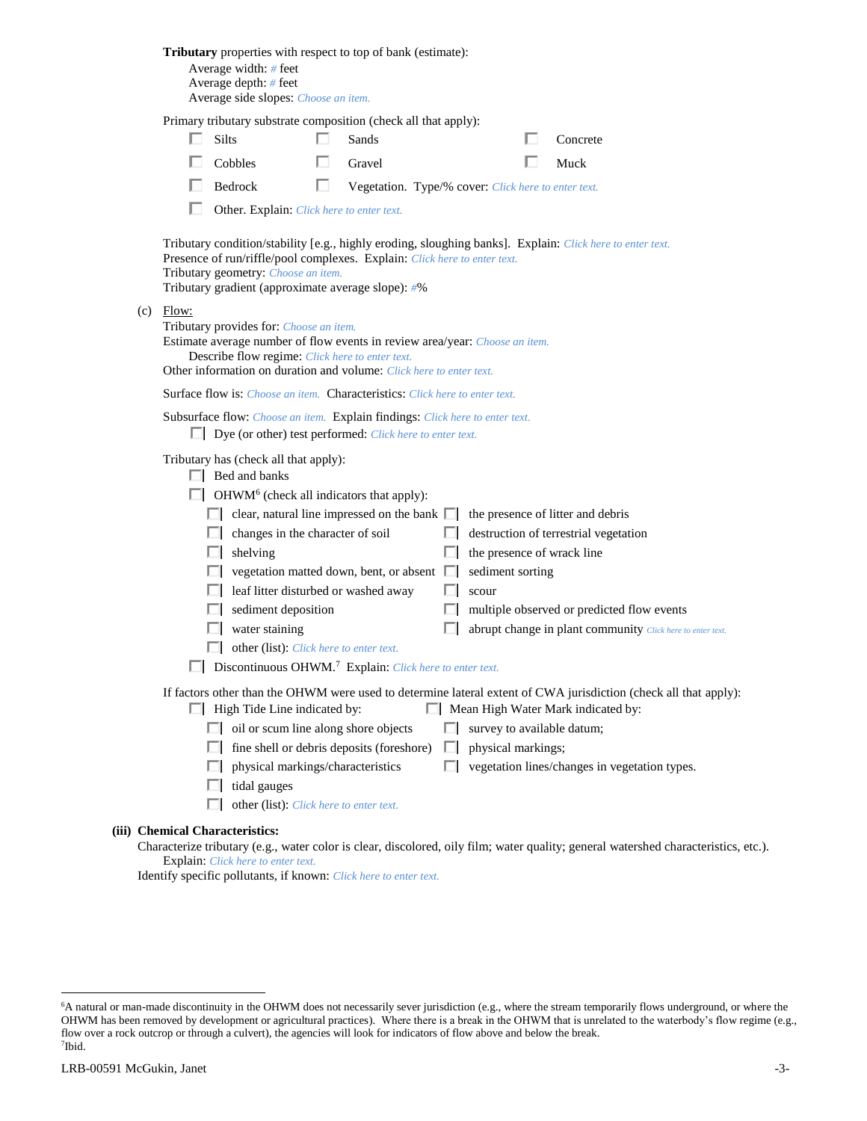|  |             | Tributary properties with respect to top of bank (estimate):<br>Average width: # feet<br>Average depth: $#$ feet<br>Average side slopes: Choose an item.                                                                                                                                                                                        |   |                                                     |   |                                                |                                                                                                                                                        |
|--|-------------|-------------------------------------------------------------------------------------------------------------------------------------------------------------------------------------------------------------------------------------------------------------------------------------------------------------------------------------------------|---|-----------------------------------------------------|---|------------------------------------------------|--------------------------------------------------------------------------------------------------------------------------------------------------------|
|  |             | Primary tributary substrate composition (check all that apply):                                                                                                                                                                                                                                                                                 |   |                                                     |   |                                                |                                                                                                                                                        |
|  |             | <b>Silts</b>                                                                                                                                                                                                                                                                                                                                    |   | Sands                                               |   |                                                | Concrete                                                                                                                                               |
|  |             | Cobbles                                                                                                                                                                                                                                                                                                                                         | U | Gravel                                              |   |                                                | Muck                                                                                                                                                   |
|  |             | Bedrock                                                                                                                                                                                                                                                                                                                                         | ш | Vegetation. Type/% cover: Click here to enter text. |   |                                                |                                                                                                                                                        |
|  |             | Other. Explain: Click here to enter text.                                                                                                                                                                                                                                                                                                       |   |                                                     |   |                                                |                                                                                                                                                        |
|  |             | Presence of run/riffle/pool complexes. Explain: Click here to enter text.<br>Tributary geometry: Choose an item.<br>Tributary gradient (approximate average slope): #%                                                                                                                                                                          |   |                                                     |   |                                                | Tributary condition/stability [e.g., highly eroding, sloughing banks]. Explain: Click here to enter text.                                              |
|  | $(c)$ Flow: | Tributary provides for: Choose an item.<br>Estimate average number of flow events in review area/year: Choose an item.<br>Describe flow regime: Click here to enter text.<br>Other information on duration and volume: Click here to enter text.                                                                                                |   |                                                     |   |                                                |                                                                                                                                                        |
|  |             | Surface flow is: Choose an item. Characteristics: Click here to enter text.                                                                                                                                                                                                                                                                     |   |                                                     |   |                                                |                                                                                                                                                        |
|  |             | Subsurface flow: Choose an item. Explain findings: Click here to enter text.<br>$\Box$ Dye (or other) test performed: <i>Click here to enter text.</i>                                                                                                                                                                                          |   |                                                     |   |                                                |                                                                                                                                                        |
|  |             | Tributary has (check all that apply):<br>$\Box$ Bed and banks<br>$\Box$ OHWM <sup>6</sup> (check all indicators that apply):<br>$\Box$ clear, natural line impressed on the bank $\Box$ the presence of litter and debris<br>$\Box$ changes in the character of soil<br>shelving<br>U.<br>$\Box$ vegetation matted down, bent, or absent $\Box$ |   |                                                     | ш | the presence of wrack line<br>sediment sorting | $\Box$ destruction of terrestrial vegetation                                                                                                           |
|  |             | leaf litter disturbed or washed away                                                                                                                                                                                                                                                                                                            |   |                                                     |   | scour                                          |                                                                                                                                                        |
|  |             | sediment deposition                                                                                                                                                                                                                                                                                                                             |   |                                                     | ш |                                                | multiple observed or predicted flow events                                                                                                             |
|  |             | water staining<br>ш                                                                                                                                                                                                                                                                                                                             |   |                                                     |   |                                                | abrupt change in plant community Click here to enter text.                                                                                             |
|  |             | other (list): Click here to enter text.                                                                                                                                                                                                                                                                                                         |   |                                                     |   |                                                |                                                                                                                                                        |
|  |             | Discontinuous OHWM. <sup>7</sup> Explain: Click here to enter text.                                                                                                                                                                                                                                                                             |   |                                                     |   |                                                |                                                                                                                                                        |
|  |             | $\Box$ High Tide Line indicated by:                                                                                                                                                                                                                                                                                                             |   |                                                     |   |                                                | If factors other than the OHWM were used to determine lateral extent of CWA jurisdiction (check all that apply):<br>Mean High Water Mark indicated by: |
|  |             | $\Box$ oil or scum line along shore objects                                                                                                                                                                                                                                                                                                     |   |                                                     |   | survey to available datum;                     |                                                                                                                                                        |
|  |             |                                                                                                                                                                                                                                                                                                                                                 |   | fine shell or debris deposits (foreshore)           | ш | physical markings;                             |                                                                                                                                                        |
|  |             | physical markings/characteristics                                                                                                                                                                                                                                                                                                               |   |                                                     | П |                                                | vegetation lines/changes in vegetation types.                                                                                                          |
|  |             | tidal gauges                                                                                                                                                                                                                                                                                                                                    |   |                                                     |   |                                                |                                                                                                                                                        |
|  |             | other (list): Click here to enter text.                                                                                                                                                                                                                                                                                                         |   |                                                     |   |                                                |                                                                                                                                                        |
|  |             | (iii) Chemical Characteristics:                                                                                                                                                                                                                                                                                                                 |   |                                                     |   |                                                |                                                                                                                                                        |
|  |             |                                                                                                                                                                                                                                                                                                                                                 |   |                                                     |   |                                                | Characterize tributary (e.g., water color is clear, discolored, oily film; water quality; general watershed characteristics, etc.).                    |

Explain: *Click here to enter text.*

Identify specific pollutants, if known: *Click here to enter text.*

 $\overline{a}$ 

<sup>6</sup>A natural or man-made discontinuity in the OHWM does not necessarily sever jurisdiction (e.g., where the stream temporarily flows underground, or where the OHWM has been removed by development or agricultural practices). Where there is a break in the OHWM that is unrelated to the waterbody's flow regime (e.g., flow over a rock outcrop or through a culvert), the agencies will look for indicators of flow above and below the break. 7 Ibid.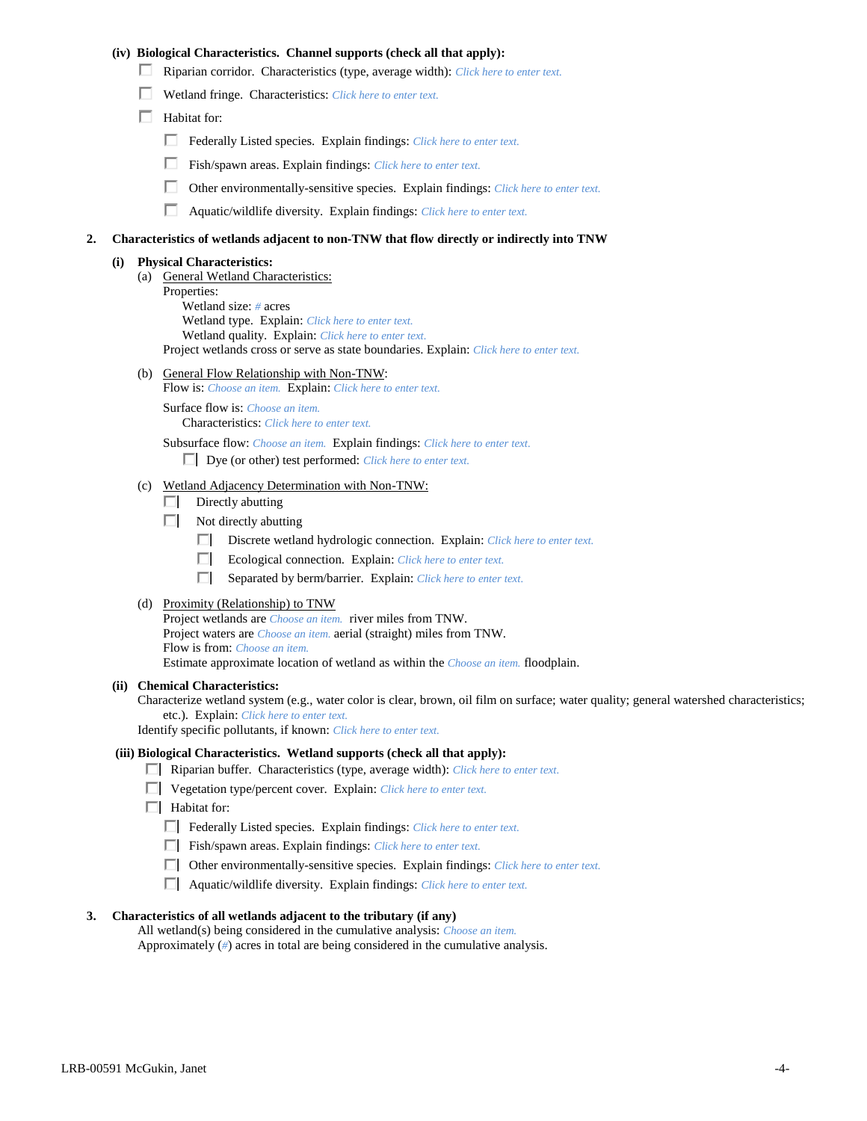### **(iv) Biological Characteristics. Channel supports (check all that apply):**

- Riparian corridor. Characteristics (type, average width): *Click here to enter text.*
- Wetland fringe. Characteristics: *Click here to enter text.*
- $\Box$  Habitat for:
	- Federally Listed species. Explain findings: *Click here to enter text.*
	- Fish/spawn areas. Explain findings: *Click here to enter text.*
	- Other environmentally-sensitive species. Explain findings: *Click here to enter text.*
	- П. Aquatic/wildlife diversity. Explain findings: *Click here to enter text.*

#### **2. Characteristics of wetlands adjacent to non-TNW that flow directly or indirectly into TNW**

#### **(i) Physical Characteristics:**

- (a) General Wetland Characteristics:
	- Properties:

Wetland size: *#* acres Wetland type. Explain: *Click here to enter text.*

Wetland quality. Explain: *Click here to enter text.*

Project wetlands cross or serve as state boundaries. Explain: *Click here to enter text.*

(b) General Flow Relationship with Non-TNW: Flow is: *Choose an item.* Explain: *Click here to enter text.*

Surface flow is: *Choose an item.* Characteristics: *Click here to enter text.*

Subsurface flow: *Choose an item.* Explain findings: *Click here to enter text.*

Dye (or other) test performed: *Click here to enter text.*

### (c) Wetland Adjacency Determination with Non-TNW:

- $\Box$  Directly abutting
- Not directly abutting
	- Discrete wetland hydrologic connection. Explain: *Click here to enter text.*
	- $\Box$ Ecological connection. Explain: *Click here to enter text.*
	- $\Box$ Separated by berm/barrier. Explain: *Click here to enter text.*
- (d) Proximity (Relationship) to TNW

Project wetlands are *Choose an item.* river miles from TNW. Project waters are *Choose an item.* aerial (straight) miles from TNW. Flow is from: *Choose an item.* Estimate approximate location of wetland as within the *Choose an item.* floodplain.

#### **(ii) Chemical Characteristics:**

Characterize wetland system (e.g., water color is clear, brown, oil film on surface; water quality; general watershed characteristics; etc.). Explain: *Click here to enter text.*

Identify specific pollutants, if known: *Click here to enter text.*

### **(iii) Biological Characteristics. Wetland supports (check all that apply):**

- Riparian buffer. Characteristics (type, average width): *Click here to enter text.*
- Vegetation type/percent cover. Explain: *Click here to enter text.*
- $\Box$  Habitat for:
	- Federally Listed species. Explain findings: *Click here to enter text*.
	- Fish/spawn areas. Explain findings: *Click here to enter text*.
	- Other environmentally-sensitive species. Explain findings: *Click here to enter text.*
	- Aquatic/wildlife diversity. Explain findings: *Click here to enter text.*

### **3. Characteristics of all wetlands adjacent to the tributary (if any)**

All wetland(s) being considered in the cumulative analysis: *Choose an item.* Approximately (*#*) acres in total are being considered in the cumulative analysis.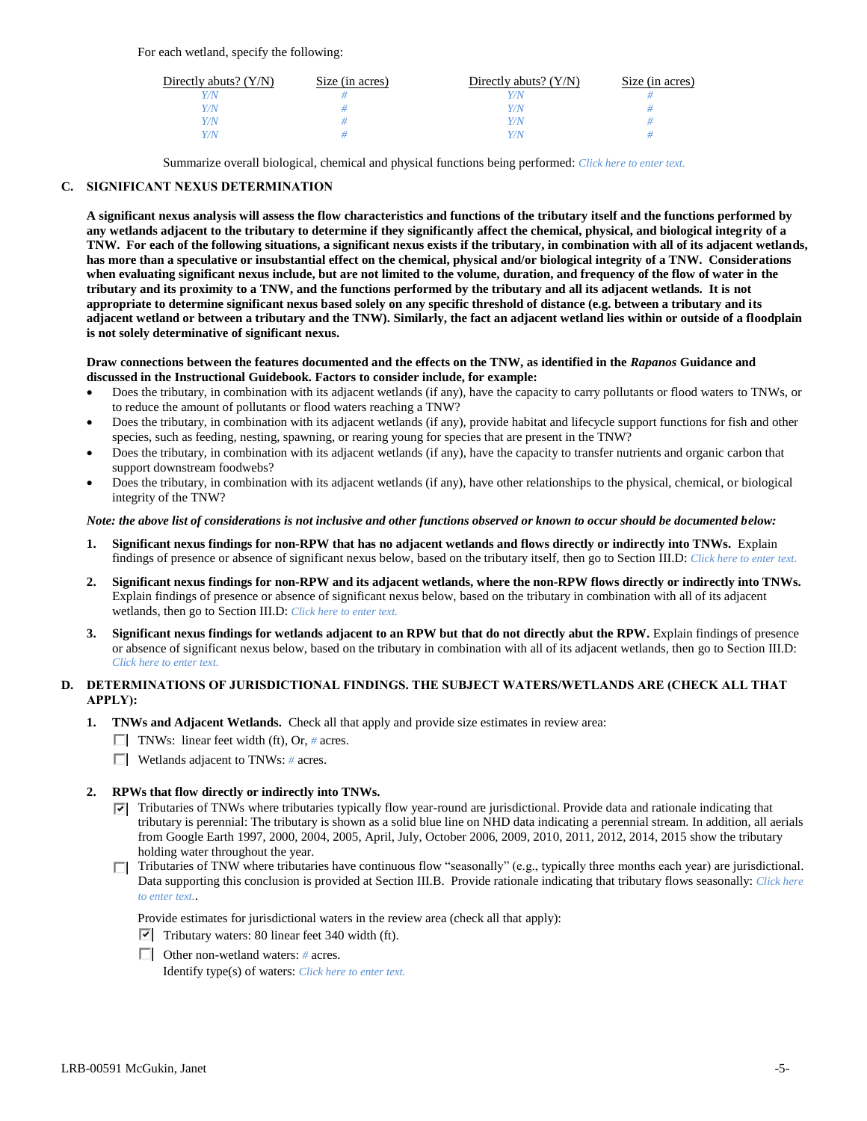For each wetland, specify the following:

| Directly abuts? $(Y/N)$ | Size (in acres) | Directly abuts? $(Y/N)$ | Size (in acres) |
|-------------------------|-----------------|-------------------------|-----------------|
| V/N                     |                 |                         |                 |
| Y/N                     |                 | Y/N                     |                 |
| Y/N                     |                 | Y/N                     |                 |
| Y/N                     |                 | 77 N                    |                 |

Summarize overall biological, chemical and physical functions being performed: *Click here to enter text.*

## **C. SIGNIFICANT NEXUS DETERMINATION**

**A significant nexus analysis will assess the flow characteristics and functions of the tributary itself and the functions performed by any wetlands adjacent to the tributary to determine if they significantly affect the chemical, physical, and biological integrity of a TNW. For each of the following situations, a significant nexus exists if the tributary, in combination with all of its adjacent wetlands, has more than a speculative or insubstantial effect on the chemical, physical and/or biological integrity of a TNW. Considerations when evaluating significant nexus include, but are not limited to the volume, duration, and frequency of the flow of water in the tributary and its proximity to a TNW, and the functions performed by the tributary and all its adjacent wetlands. It is not appropriate to determine significant nexus based solely on any specific threshold of distance (e.g. between a tributary and its adjacent wetland or between a tributary and the TNW). Similarly, the fact an adjacent wetland lies within or outside of a floodplain is not solely determinative of significant nexus.** 

### **Draw connections between the features documented and the effects on the TNW, as identified in the** *Rapanos* **Guidance and discussed in the Instructional Guidebook. Factors to consider include, for example:**

- Does the tributary, in combination with its adjacent wetlands (if any), have the capacity to carry pollutants or flood waters to TNWs, or to reduce the amount of pollutants or flood waters reaching a TNW?
- Does the tributary, in combination with its adjacent wetlands (if any), provide habitat and lifecycle support functions for fish and other species, such as feeding, nesting, spawning, or rearing young for species that are present in the TNW?
- Does the tributary, in combination with its adjacent wetlands (if any), have the capacity to transfer nutrients and organic carbon that support downstream foodwebs?
- Does the tributary, in combination with its adjacent wetlands (if any), have other relationships to the physical, chemical, or biological integrity of the TNW?

### *Note: the above list of considerations is not inclusive and other functions observed or known to occur should be documented below:*

- **1. Significant nexus findings for non-RPW that has no adjacent wetlands and flows directly or indirectly into TNWs.** Explain findings of presence or absence of significant nexus below, based on the tributary itself, then go to Section III.D: *Click here to enter text.*
- **2. Significant nexus findings for non-RPW and its adjacent wetlands, where the non-RPW flows directly or indirectly into TNWs.**  Explain findings of presence or absence of significant nexus below, based on the tributary in combination with all of its adjacent wetlands, then go to Section III.D: *Click here to enter text.*
- **3. Significant nexus findings for wetlands adjacent to an RPW but that do not directly abut the RPW.** Explain findings of presence or absence of significant nexus below, based on the tributary in combination with all of its adjacent wetlands, then go to Section III.D: *Click here to enter text.*

# **D. DETERMINATIONS OF JURISDICTIONAL FINDINGS. THE SUBJECT WATERS/WETLANDS ARE (CHECK ALL THAT APPLY):**

- **1. TNWs and Adjacent Wetlands.** Check all that apply and provide size estimates in review area:
	- TNWs: linear feet width (ft), Or, # acres.
	- Wetlands adjacent to TNWs: *#* acres.

## **2. RPWs that flow directly or indirectly into TNWs.**

- $\nabla$  Tributaries of TNWs where tributaries typically flow year-round are jurisdictional. Provide data and rationale indicating that tributary is perennial: The tributary is shown as a solid blue line on NHD data indicating a perennial stream. In addition, all aerials from Google Earth 1997, 2000, 2004, 2005, April, July, October 2006, 2009, 2010, 2011, 2012, 2014, 2015 show the tributary holding water throughout the year.
- $\Box$  Tributaries of TNW where tributaries have continuous flow "seasonally" (e.g., typically three months each year) are jurisdictional. Data supporting this conclusion is provided at Section III.B. Provide rationale indicating that tributary flows seasonally: *Click here to enter text.*.

Provide estimates for jurisdictional waters in the review area (check all that apply):

- $\triangledown$  Tributary waters: 80 linear feet 340 width (ft).
- Other non-wetland waters: *#* acres. Identify type(s) of waters: *Click here to enter text.*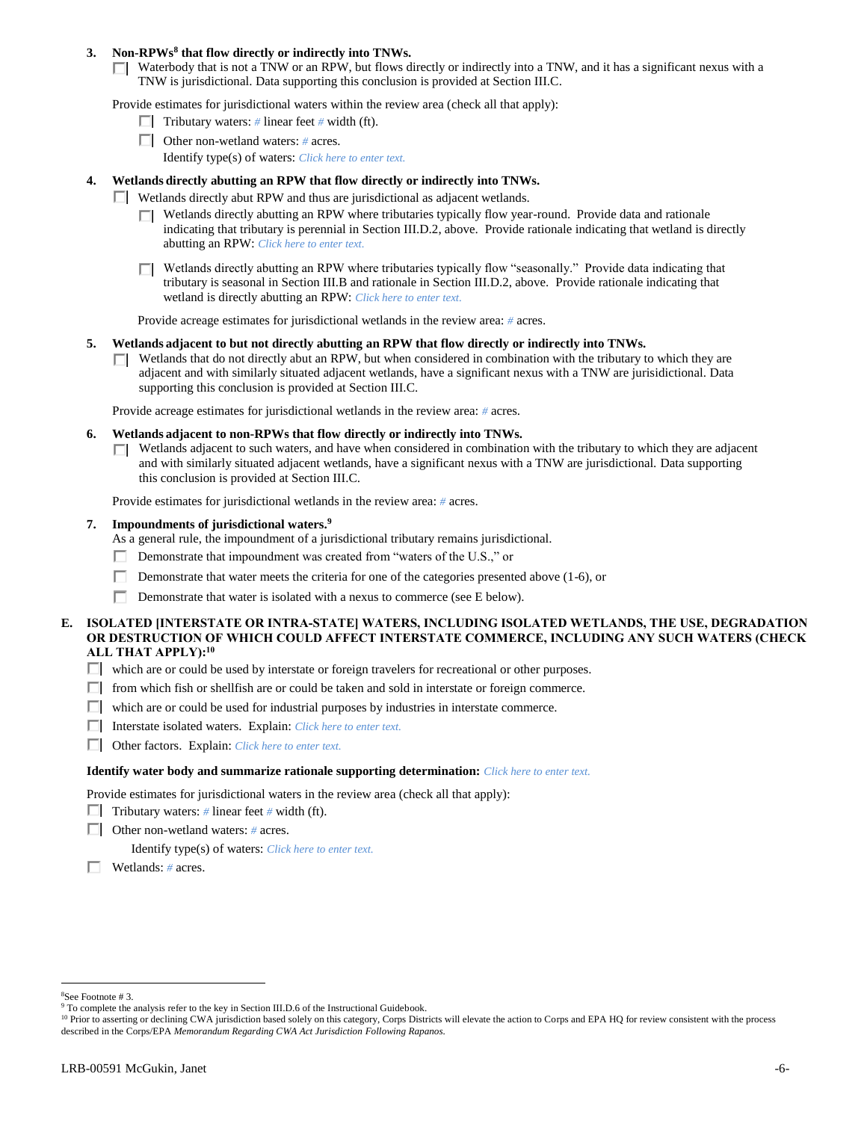### **3. Non-RPWs<sup>8</sup> that flow directly or indirectly into TNWs.**

 $\Box$  Waterbody that is not a TNW or an RPW, but flows directly or indirectly into a TNW, and it has a significant nexus with a TNW is jurisdictional. Data supporting this conclusion is provided at Section III.C.

Provide estimates for jurisdictional waters within the review area (check all that apply):

- **Tributary waters:** # linear feet # width (ft).
- Other non-wetland waters: *#* acres.
	- Identify type(s) of waters: *Click here to enter text.*
- **4. Wetlands directly abutting an RPW that flow directly or indirectly into TNWs.**
	- Wetlands directly abut RPW and thus are jurisdictional as adjacent wetlands.
		- $\Box$  Wetlands directly abutting an RPW where tributaries typically flow year-round. Provide data and rationale indicating that tributary is perennial in Section III.D.2, above. Provide rationale indicating that wetland is directly abutting an RPW: *Click here to enter text.*
		- Wetlands directly abutting an RPW where tributaries typically flow "seasonally." Provide data indicating that tributary is seasonal in Section III.B and rationale in Section III.D.2, above. Provide rationale indicating that wetland is directly abutting an RPW: *Click here to enter text.*

Provide acreage estimates for jurisdictional wetlands in the review area: *#* acres.

- **5. Wetlands adjacent to but not directly abutting an RPW that flow directly or indirectly into TNWs.**
	- $\Box$  Wetlands that do not directly abut an RPW, but when considered in combination with the tributary to which they are adjacent and with similarly situated adjacent wetlands, have a significant nexus with a TNW are jurisidictional. Data supporting this conclusion is provided at Section III.C.

Provide acreage estimates for jurisdictional wetlands in the review area: *#* acres.

- **6. Wetlands adjacent to non-RPWs that flow directly or indirectly into TNWs.** 
	- $\Box$  Wetlands adjacent to such waters, and have when considered in combination with the tributary to which they are adjacent and with similarly situated adjacent wetlands, have a significant nexus with a TNW are jurisdictional. Data supporting this conclusion is provided at Section III.C.

Provide estimates for jurisdictional wetlands in the review area: *#* acres.

**7. Impoundments of jurisdictional waters. 9**

As a general rule, the impoundment of a jurisdictional tributary remains jurisdictional.

- Demonstrate that impoundment was created from "waters of the U.S.," or
- Demonstrate that water meets the criteria for one of the categories presented above (1-6), or
- П. Demonstrate that water is isolated with a nexus to commerce (see E below).
- **E. ISOLATED [INTERSTATE OR INTRA-STATE] WATERS, INCLUDING ISOLATED WETLANDS, THE USE, DEGRADATION OR DESTRUCTION OF WHICH COULD AFFECT INTERSTATE COMMERCE, INCLUDING ANY SUCH WATERS (CHECK ALL THAT APPLY):<sup>10</sup>**
	- which are or could be used by interstate or foreign travelers for recreational or other purposes.
	- $\Box$  from which fish or shellfish are or could be taken and sold in interstate or foreign commerce.
	- $\Box$  which are or could be used for industrial purposes by industries in interstate commerce.
	- Interstate isolated waters.Explain: *Click here to enter text.*
	- Other factors.Explain: *Click here to enter text.*

#### **Identify water body and summarize rationale supporting determination:** *Click here to enter text.*

Provide estimates for jurisdictional waters in the review area (check all that apply):

- **Tributary waters:** # linear feet # width (ft).
- Other non-wetland waters: *#* acres.

Identify type(s) of waters: *Click here to enter text.*

Wetlands: *#* acres.

 $\overline{a}$ 

<sup>8</sup>See Footnote # 3.

<sup>&</sup>lt;sup>9</sup> To complete the analysis refer to the key in Section III.D.6 of the Instructional Guidebook.

<sup>&</sup>lt;sup>10</sup> Prior to asserting or declining CWA jurisdiction based solely on this category, Corps Districts will elevate the action to Corps and EPA HQ for review consistent with the process described in the Corps/EPA *Memorandum Regarding CWA Act Jurisdiction Following Rapanos.*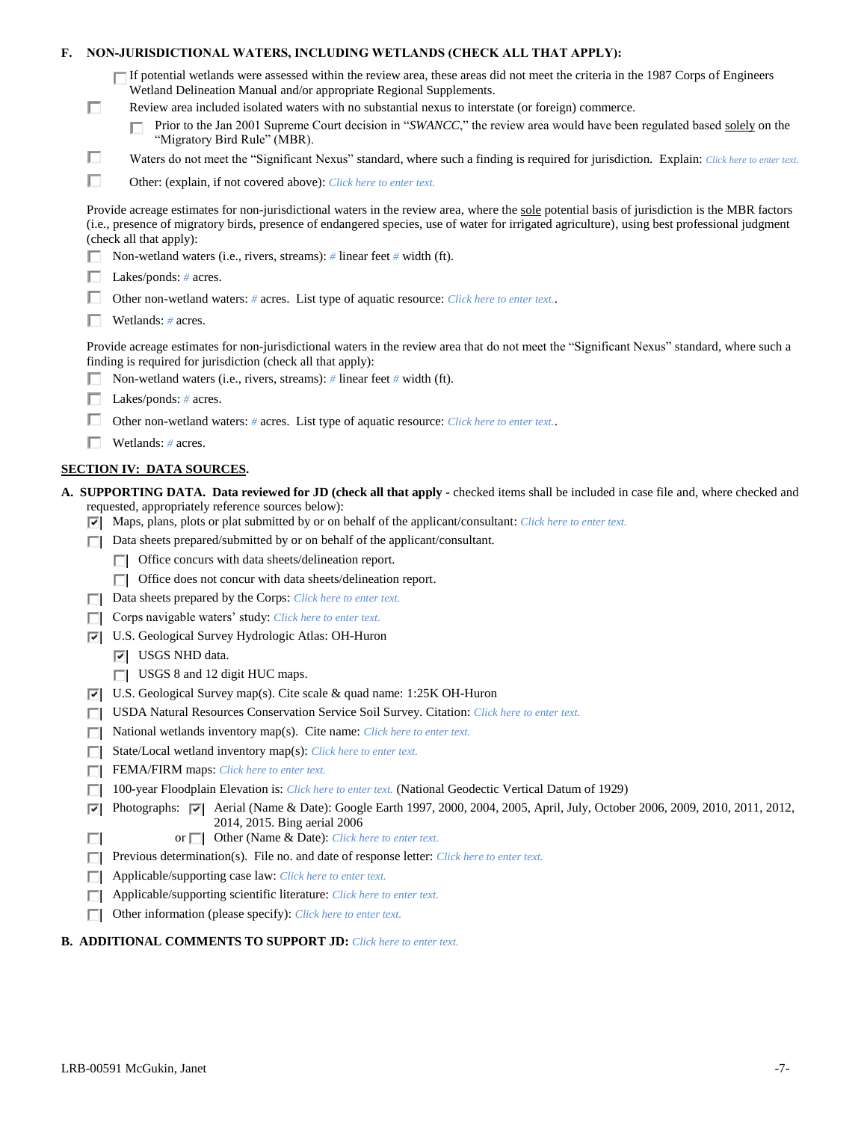| F. |        | NON-JURISDICTIONAL WATERS, INCLUDING WETLANDS (CHECK ALL THAT APPLY):                                                                                                                                                                                                                                                     |  |  |  |
|----|--------|---------------------------------------------------------------------------------------------------------------------------------------------------------------------------------------------------------------------------------------------------------------------------------------------------------------------------|--|--|--|
|    |        | $\Box$ If potential wetlands were assessed within the review area, these areas did not meet the criteria in the 1987 Corps of Engineers<br>Wetland Delineation Manual and/or appropriate Regional Supplements.                                                                                                            |  |  |  |
|    | □      | Review area included isolated waters with no substantial nexus to interstate (or foreign) commerce.<br>Prior to the Jan 2001 Supreme Court decision in "SWANCC," the review area would have been regulated based solely on the<br>"Migratory Bird Rule" (MBR).                                                            |  |  |  |
|    | ш      | Waters do not meet the "Significant Nexus" standard, where such a finding is required for jurisdiction. Explain: Click here to enter text.                                                                                                                                                                                |  |  |  |
|    | □      | Other: (explain, if not covered above): Click here to enter text.                                                                                                                                                                                                                                                         |  |  |  |
|    |        |                                                                                                                                                                                                                                                                                                                           |  |  |  |
|    |        | Provide acreage estimates for non-jurisdictional waters in the review area, where the sole potential basis of jurisdiction is the MBR factors<br>(i.e., presence of migratory birds, presence of endangered species, use of water for irrigated agriculture), using best professional judgment<br>(check all that apply): |  |  |  |
|    |        | Non-wetland waters (i.e., rivers, streams): # linear feet # width (ft).                                                                                                                                                                                                                                                   |  |  |  |
|    |        | Lakes/ponds: $# \, \text{acres.}$                                                                                                                                                                                                                                                                                         |  |  |  |
|    |        | Other non-wetland waters: # acres. List type of aquatic resource: Click here to enter text                                                                                                                                                                                                                                |  |  |  |
|    |        | Wetlands: $#$ acres.                                                                                                                                                                                                                                                                                                      |  |  |  |
|    |        | Provide acreage estimates for non-jurisdictional waters in the review area that do not meet the "Significant Nexus" standard, where such a<br>finding is required for jurisdiction (check all that apply):                                                                                                                |  |  |  |
|    |        | Non-wetland waters (i.e., rivers, streams): $\#$ linear feet $\#$ width (ft).                                                                                                                                                                                                                                             |  |  |  |
|    |        | Lakes/ponds: $# \, \text{acres.}$                                                                                                                                                                                                                                                                                         |  |  |  |
|    |        | Other non-wetland waters: # acres. List type of aquatic resource: Click here to enter text                                                                                                                                                                                                                                |  |  |  |
|    |        | Wetlands: $#$ acres.                                                                                                                                                                                                                                                                                                      |  |  |  |
|    |        | <b>SECTION IV: DATA SOURCES.</b>                                                                                                                                                                                                                                                                                          |  |  |  |
|    |        | A. SUPPORTING DATA. Data reviewed for JD (check all that apply - checked items shall be included in case file and, where checked and                                                                                                                                                                                      |  |  |  |
|    | ⊡      | requested, appropriately reference sources below):<br>Maps, plans, plots or plat submitted by or on behalf of the applicant/consultant: Click here to enter text.                                                                                                                                                         |  |  |  |
|    |        | Data sheets prepared/submitted by or on behalf of the applicant/consultant.                                                                                                                                                                                                                                               |  |  |  |
|    |        | Office concurs with data sheets/delineation report.                                                                                                                                                                                                                                                                       |  |  |  |
|    |        | Office does not concur with data sheets/delineation report.<br>п                                                                                                                                                                                                                                                          |  |  |  |
|    |        | Data sheets prepared by the Corps: Click here to enter text.                                                                                                                                                                                                                                                              |  |  |  |
|    |        | Corps navigable waters' study: Click here to enter text.                                                                                                                                                                                                                                                                  |  |  |  |
|    | 罓      | U.S. Geological Survey Hydrologic Atlas: OH-Huron                                                                                                                                                                                                                                                                         |  |  |  |
|    |        | $ \overline{v} $ USGS NHD data.                                                                                                                                                                                                                                                                                           |  |  |  |
|    |        | USGS 8 and 12 digit HUC maps.                                                                                                                                                                                                                                                                                             |  |  |  |
|    | 罓      | U.S. Geological Survey map(s). Cite scale & quad name: 1:25K OH-Huron<br>USDA Natural Resources Conservation Service Soil Survey. Citation: Click here to enter text.                                                                                                                                                     |  |  |  |
|    |        | National wetlands inventory map(s). Cite name: Click here to enter text.                                                                                                                                                                                                                                                  |  |  |  |
|    | г<br>ш | State/Local wetland inventory map(s): Click here to enter text.                                                                                                                                                                                                                                                           |  |  |  |
|    |        | FEMA/FIRM maps: Click here to enter text.                                                                                                                                                                                                                                                                                 |  |  |  |
|    |        | 100-year Floodplain Elevation is: Click here to enter text. (National Geodectic Vertical Datum of 1929)                                                                                                                                                                                                                   |  |  |  |
|    | ⊽      | Photographs: $\sqrt{ }$ Aerial (Name & Date): Google Earth 1997, 2000, 2004, 2005, April, July, October 2006, 2009, 2010, 2011, 2012,<br>2014, 2015. Bing aerial 2006                                                                                                                                                     |  |  |  |
|    | $\Box$ | Other (Name & Date): Click here to enter text.<br>or $\Box$                                                                                                                                                                                                                                                               |  |  |  |
|    |        | Previous determination(s). File no. and date of response letter: Click here to enter text.                                                                                                                                                                                                                                |  |  |  |
|    | L      | Applicable/supporting case law: Click here to enter text.                                                                                                                                                                                                                                                                 |  |  |  |
|    | U      | Applicable/supporting scientific literature: Click here to enter text.                                                                                                                                                                                                                                                    |  |  |  |
|    |        | Other information (please specify): Click here to enter text.                                                                                                                                                                                                                                                             |  |  |  |

# **B. ADDITIONAL COMMENTS TO SUPPORT JD:** *Click here to enter text.*